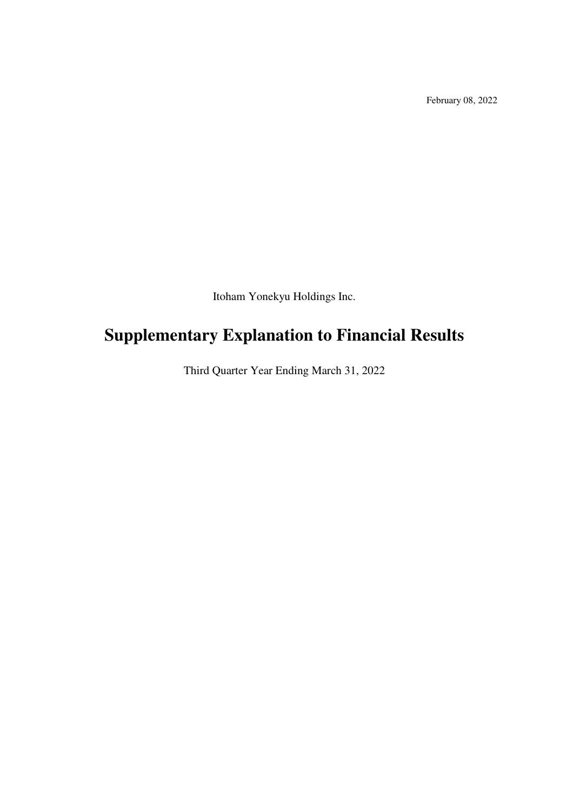February 08, 2022

Itoham Yonekyu Holdings Inc.

# **Supplementary Explanation to Financial Results**

Third Quarter Year Ending March 31, 2022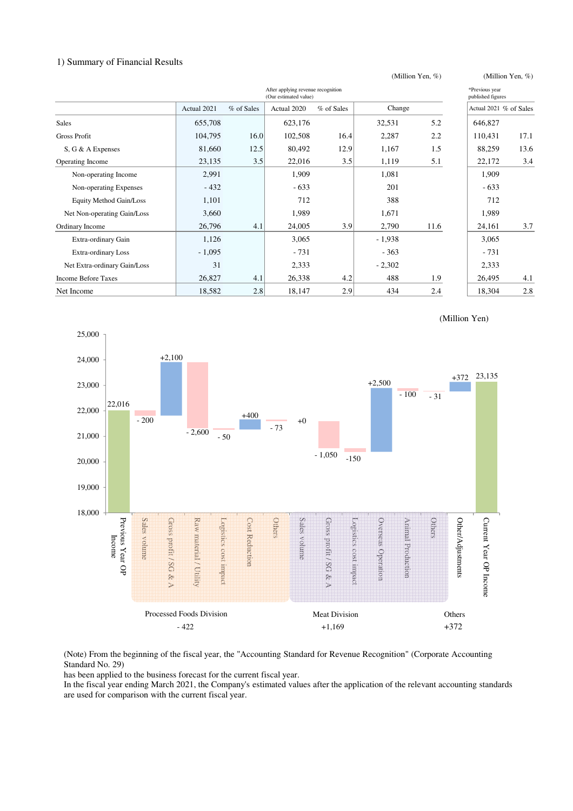#### 1) Summary of Financial Results

|                                                             |             |            |             |            | (Million Yen, %) |      |                                     |      |
|-------------------------------------------------------------|-------------|------------|-------------|------------|------------------|------|-------------------------------------|------|
| After applying revenue recognition<br>(Our estimated value) |             |            |             |            |                  |      | *Previous year<br>published figures |      |
|                                                             | Actual 2021 | % of Sales | Actual 2020 | % of Sales | Change           |      | Actual 2021 % of Sales              |      |
| <b>Sales</b>                                                | 655,708     |            | 623,176     |            | 32,531           | 5.2  | 646,827                             |      |
| Gross Profit                                                | 104,795     | 16.0       | 102,508     | 16.4       | 2,287            | 2.2  | 110,431                             | 17.1 |
| S, G & A Expenses                                           | 81,660      | 12.5       | 80,492      | 12.9       | 1,167            | 1.5  | 88,259                              | 13.6 |
| Operating Income                                            | 23,135      | 3.5        | 22,016      | 3.5        | 1,119            | 5.1  | 22,172                              | 3.4  |
| Non-operating Income                                        | 2,991       |            | 1,909       |            | 1,081            |      | 1,909                               |      |
| Non-operating Expenses                                      | $-432$      |            | $-633$      |            | 201              |      | $-633$                              |      |
| Equity Method Gain/Loss                                     | 1,101       |            | 712         |            | 388              |      | 712                                 |      |
| Net Non-operating Gain/Loss                                 | 3,660       |            | 1,989       |            | 1,671            |      | 1,989                               |      |
| Ordinary Income                                             | 26,796      | 4.1        | 24,005      | 3.9        | 2,790            | 11.6 | 24,161                              | 3.7  |
| Extra-ordinary Gain                                         | 1,126       |            | 3,065       |            | $-1,938$         |      | 3,065                               |      |
| Extra-ordinary Loss                                         | $-1,095$    |            | $-731$      |            | $-363$           |      | $-731$                              |      |
| Net Extra-ordinary Gain/Loss                                | 31          |            | 2,333       |            | $-2,302$         |      | 2,333                               |      |
| <b>Income Before Taxes</b>                                  | 26,827      | 4.1        | 26,338      | 4.2        | 488              | 1.9  | 26,495                              | 4.1  |
| Net Income                                                  | 18,582      | 2.8        | 18,147      | 2.9        | 434              | 2.4  | 18,304                              | 2.8  |



(Million Yen)

(Note) From the beginning of the fiscal year, the "Accounting Standard for Revenue Recognition" (Corporate Accounting Standard No. 29)

has been applied to the business forecast for the current fiscal year.

In the fiscal year ending March 2021, the Company's estimated values after the application of the relevant accounting standards are used for comparison with the current fiscal year.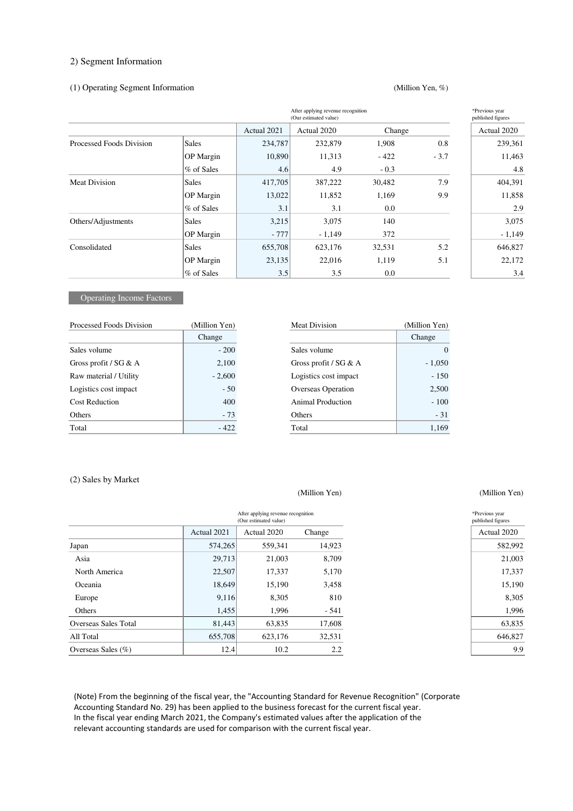#### 2) Segment Information

#### (1) Operating Segment Information

#### (Million Yen, %)

|                          |                  | (Our estimated value) | *Previous year<br>published figures |        |        |             |
|--------------------------|------------------|-----------------------|-------------------------------------|--------|--------|-------------|
|                          |                  | Actual 2021           | Actual 2020                         | Change |        | Actual 2020 |
| Processed Foods Division | <b>Sales</b>     | 234,787               | 232,879                             | 1,908  | 0.8    | 239,361     |
|                          | <b>OP</b> Margin | 10,890                | 11,313                              | $-422$ | $-3.7$ | 11,463      |
|                          | % of Sales       | 4.6                   | 4.9                                 | $-0.3$ |        | 4.8         |
| <b>Meat Division</b>     | Sales            | 417,705               | 387,222                             | 30,482 | 7.9    | 404,391     |
|                          | <b>OP</b> Margin | 13,022                | 11,852                              | 1,169  | 9.9    | 11,858      |
|                          | % of Sales       | 3.1                   | 3.1                                 | 0.0    |        | 2.9         |
| Others/Adjustments       | Sales            | 3,215                 | 3,075                               | 140    |        | 3,075       |
|                          | <b>OP</b> Margin | $-777$                | $-1,149$                            | 372    |        | $-1,149$    |
| Consolidated             | Sales            | 655,708               | 623,176                             | 32,531 | 5.2    | 646,827     |
|                          | <b>OP</b> Margin | 23,135                | 22,016                              | 1,119  | 5.1    | 22,172      |
|                          | % of Sales       | 3.5                   | 3.5                                 | 0.0    |        | 3.4         |

# **Operating Income Factors**

| Processed Foods Division | (Million Yen) | Meat Division             | (Million Yen) |
|--------------------------|---------------|---------------------------|---------------|
|                          | Change        |                           | Change        |
| Sales volume             | $-200$        | Sales volume              |               |
| Gross profit / $SG & A$  | 2,100         | Gross profit / $SG & A$   | $-1,050$      |
| Raw material / Utility   | $-2,600$      | Logistics cost impact     | $-150$        |
| Logistics cost impact    | $-50$         | <b>Overseas Operation</b> | 2,500         |
| <b>Cost Reduction</b>    | 400           | Animal Production         | $-100$        |
| Others                   | $-73$         | Others                    | $-31$         |
| Total                    | $-422$        | Total                     | 1,169         |

# (2) Sales by Market

#### (Million Yen) (Million Yen)

|                       |             | After applying revenue recognition<br>(Our estimated value) |        | *Previous year<br>published figures |
|-----------------------|-------------|-------------------------------------------------------------|--------|-------------------------------------|
|                       | Actual 2021 | Actual 2020                                                 | Change | Actual 2020                         |
| Japan                 | 574,265     | 559,341                                                     | 14,923 | 582,992                             |
| Asia                  | 29,713      | 21,003                                                      | 8,709  | 21,003                              |
| North America         | 22,507      | 17,337                                                      | 5,170  | 17,337                              |
| Oceania               | 18,649      | 15.190                                                      | 3,458  | 15,190                              |
| Europe                | 9,116       | 8,305                                                       | 810    | 8,305                               |
| Others                | 1,455       | 1,996                                                       | - 541  | 1,996                               |
| Overseas Sales Total  | 81,443      | 63,835                                                      | 17,608 | 63,835                              |
| All Total             | 655,708     | 623,176                                                     | 32,531 | 646,827                             |
| Overseas Sales $(\%)$ | 12.4        | 10.2                                                        | 2.2    |                                     |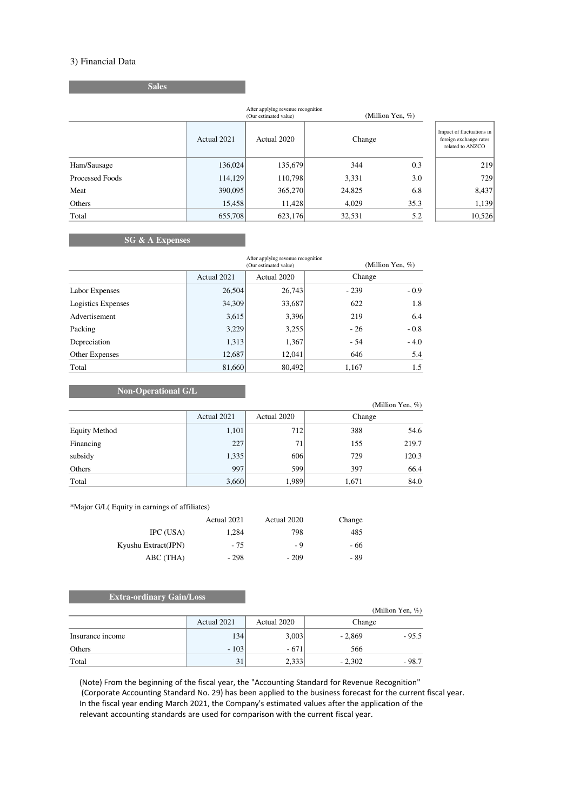### 3) Financial Data

(Million Yen, %) Actual 2021 Actual 2020 Impact of fluctuations in foreign exchange rates related to ANZCO Ham/Sausage 136,024 135,679 344 0.3 219 Processed Foods 114,129 110,798 3,331 3.0 729 Meat 390,095 365,270 24,825 6.8 8,437 Others 15,458 11,428 4,029 35.3 1,139 Total 655,708 623,176 32,531 5.2 10,526 Change After applying revenue recognition (Our estimated value)

#### **SG & A Expenses**

**Sales**

|                    |             | After applying revenue recognition<br>(Our estimated value) |        | (Million Yen, $%$ ) |  |
|--------------------|-------------|-------------------------------------------------------------|--------|---------------------|--|
|                    | Actual 2021 | Actual 2020                                                 | Change |                     |  |
| Labor Expenses     | 26,504      | 26,743                                                      | $-239$ | $-0.9$              |  |
| Logistics Expenses | 34,309      | 33,687                                                      | 622    | 1.8                 |  |
| Advertisement      | 3,615       | 3,396                                                       | 219    | 6.4                 |  |
| Packing            | 3,229       | 3,255                                                       | $-26$  | $-0.8$              |  |
| Depreciation       | 1,313       | 1,367                                                       | $-54$  | $-4.0$              |  |
| Other Expenses     | 12,687      | 12,041                                                      | 646    | 5.4                 |  |
| Total              | 81,660      | 80,492                                                      | 1,167  | 1.5                 |  |

#### **Non-Operational G/L**

|                      |             |             |        | (Million Yen, $\%$ ) |
|----------------------|-------------|-------------|--------|----------------------|
|                      | Actual 2021 | Actual 2020 | Change |                      |
| <b>Equity Method</b> | 1,101       | 712         | 388    | 54.6                 |
| Financing            | 227         | 71          | 155    | 219.7                |
| subsidy              | 1,335       | 606         | 729    | 120.3                |
| Others               | 997         | 599         | 397    | 66.4                 |
| Total                | 3,660       | 1,989       | 1,671  | 84.0                 |

\*Major G/L( Equity in earnings of affiliates)

|                     | Actual 2021 | Actual 2020 | Change |
|---------------------|-------------|-------------|--------|
| IPC (USA)           | 1.284       | 798         | 485    |
| Kyushu Extract(JPN) | - 75        | - 9         | - 66   |
| ABC (THA)           | $-298$      | $-209$      | - 89   |

#### **Extra-ordinary Gain/Loss**

|                  |             |             |          | (Million Yen, $%$ ) |
|------------------|-------------|-------------|----------|---------------------|
|                  | Actual 2021 | Actual 2020 | Change   |                     |
| Insurance income | 134         | 3,003       | $-2,869$ | $-95.5$             |
| Others           | $-103$      | $-671$      | 566      |                     |
| Total            | 31          | 2,333       | $-2.302$ | $-98.7$             |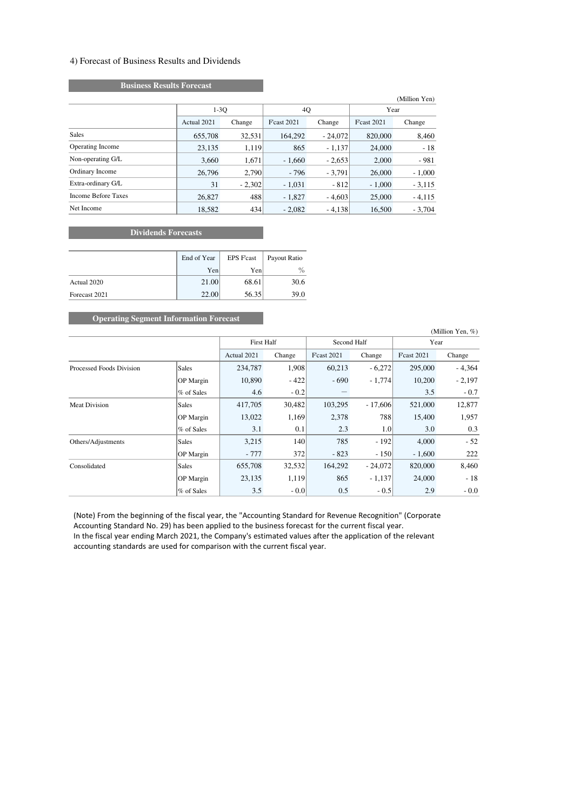#### 4) Forecast of Business Results and Dividends

# **Business Results Forecast**

|                            |             |          |                    |           |                    | (Million Yen) |
|----------------------------|-------------|----------|--------------------|-----------|--------------------|---------------|
|                            | $1-30$      |          | 4Q                 |           | Year               |               |
|                            | Actual 2021 | Change   | <b>F</b> cast 2021 | Change    | <b>F</b> cast 2021 | Change        |
| <b>Sales</b>               | 655,708     | 32,531   | 164,292            | $-24,072$ | 820,000            | 8,460         |
| <b>Operating Income</b>    | 23,135      | 1,119    | 865                | $-1,137$  | 24,000             | $-18$         |
| Non-operating G/L          | 3,660       | 1,671    | $-1,660$           | $-2,653$  | 2,000              | $-981$        |
| Ordinary Income            | 26,796      | 2,790    | $-796$             | $-3,791$  | 26,000             | $-1,000$      |
| Extra-ordinary G/L         | 31          | $-2,302$ | $-1,031$           | $-812$    | $-1,000$           | $-3,115$      |
| <b>Income Before Taxes</b> | 26,827      | 488      | $-1,827$           | $-4,603$  | 25,000             | $-4,115$      |
| Net Income                 | 18,582      | 434      | $-2.082$           | $-4.138$  | 16,500             | $-3,704$      |

# **Dividends Forecasts**

|               | End of Year | <b>EPS Fcast</b> | Payout Ratio |
|---------------|-------------|------------------|--------------|
|               | Yen         | Yen              | $\%$         |
| Actual 2020   | 21.00       | 68.61            | 30.6         |
| Forecast 2021 | 22.00       | 56.35            | 39.0         |

# **Operating Segment Information Forecast**

|                          |              |                   |        |                    |           |                    | (Million Yen, $%$ ) |
|--------------------------|--------------|-------------------|--------|--------------------|-----------|--------------------|---------------------|
|                          |              | <b>First Half</b> |        | Second Half        |           | Year               |                     |
|                          |              | Actual 2021       | Change | <b>F</b> cast 2021 | Change    | <b>F</b> cast 2021 | Change              |
| Processed Foods Division | <b>Sales</b> | 234,787           | 1,908  | 60,213             | $-6,272$  | 295,000            | $-4,364$            |
|                          | OP Margin    | 10,890            | $-422$ | $-690$             | $-1,774$  | 10,200             | $-2,197$            |
|                          | % of Sales   | 4.6               | $-0.2$ |                    |           | 3.5                | $-0.7$              |
| <b>Meat Division</b>     | <b>Sales</b> | 417,705           | 30,482 | 103,295            | $-17,606$ | 521,000            | 12,877              |
|                          | OP Margin    | 13,022            | 1,169  | 2,378              | 788       | 15,400             | 1,957               |
|                          | % of Sales   | 3.1               | 0.1    | 2.3                | 1.0       | 3.0                | 0.3                 |
| Others/Adjustments       | <b>Sales</b> | 3,215             | 140    | 785                | $-192$    | 4,000              | $-52$               |
|                          | OP Margin    | - 777             | 372    | $-823$             | $-150$    | $-1,600$           | 222                 |
| Consolidated             | <b>Sales</b> | 655,708           | 32,532 | 164,292            | $-24,072$ | 820,000            | 8,460               |
|                          | OP Margin    | 23,135            | 1,119  | 865                | $-1,137$  | 24,000             | $-18$               |
|                          | % of Sales   | 3.5               | $-0.0$ | 0.5                | $-0.5$    | 2.9                | $-0.0$              |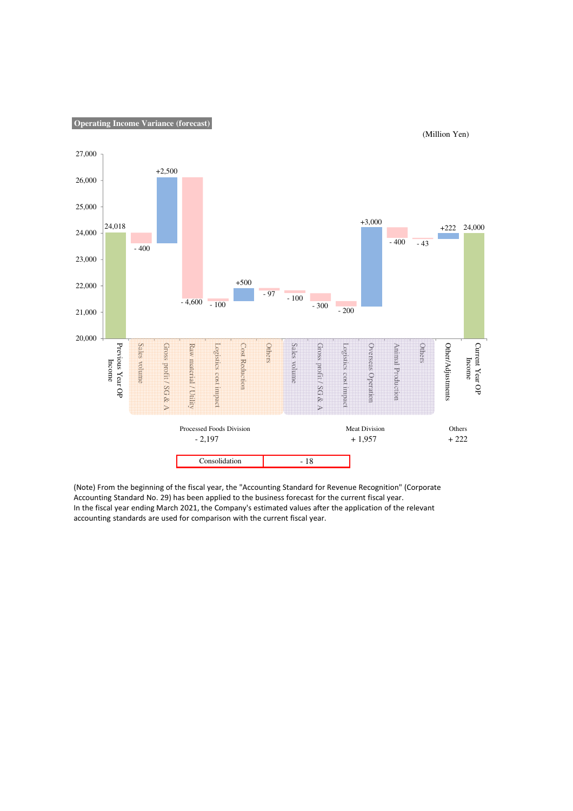